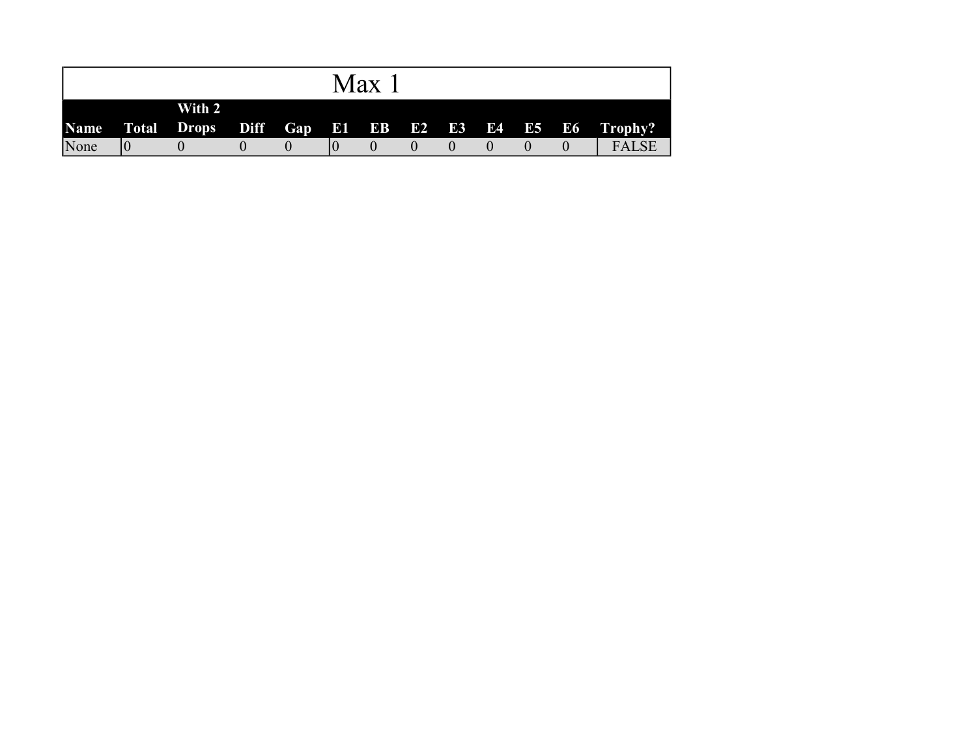|      |        |  | Max |  |  |  |                                                        |
|------|--------|--|-----|--|--|--|--------------------------------------------------------|
|      | With 2 |  |     |  |  |  | Name Total Drops Diff Gap E1 EB E2 E3 E4 E5 E6 Trophy? |
| None |        |  |     |  |  |  | <b>FALSE</b>                                           |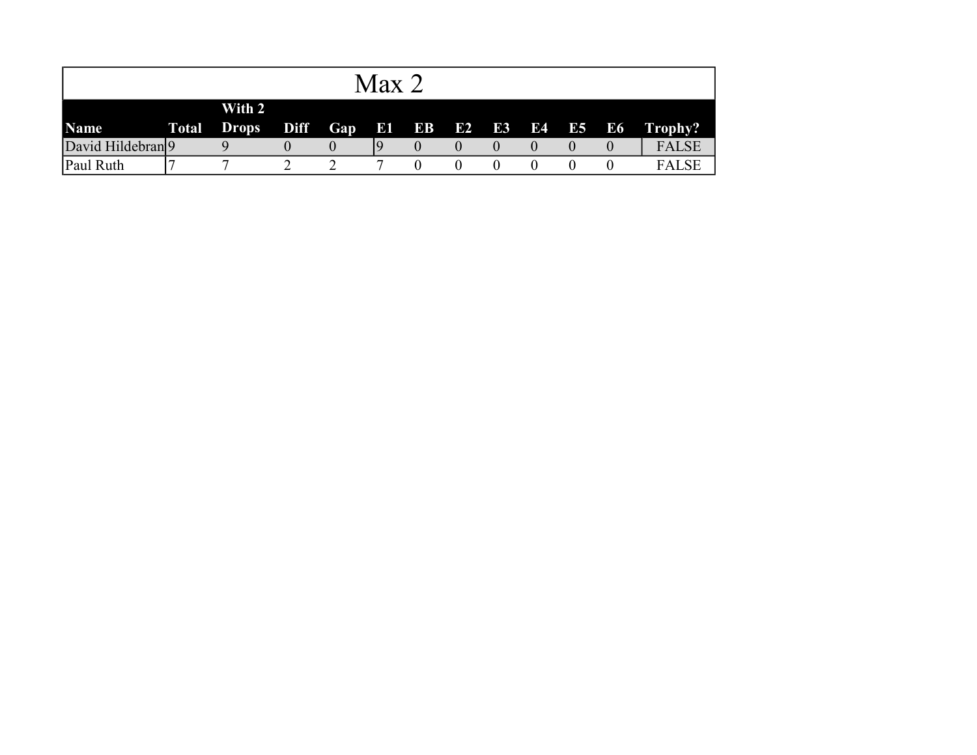|                              |              |                        |                   |     | Max   |    |    |           |       |              |
|------------------------------|--------------|------------------------|-------------------|-----|-------|----|----|-----------|-------|--------------|
| <b>Name</b>                  | <b>Total</b> | With 2<br><b>Drops</b> | Diff <sub>1</sub> | Gap | E1 EB | E2 | E3 | <b>E4</b> | E5 E6 | Trophy?      |
| David Hildebran <sup>9</sup> |              |                        |                   |     |       |    |    |           |       | <b>FALSE</b> |
| Paul Ruth                    |              | ┍                      |                   |     |       |    |    |           |       | <b>FALSE</b> |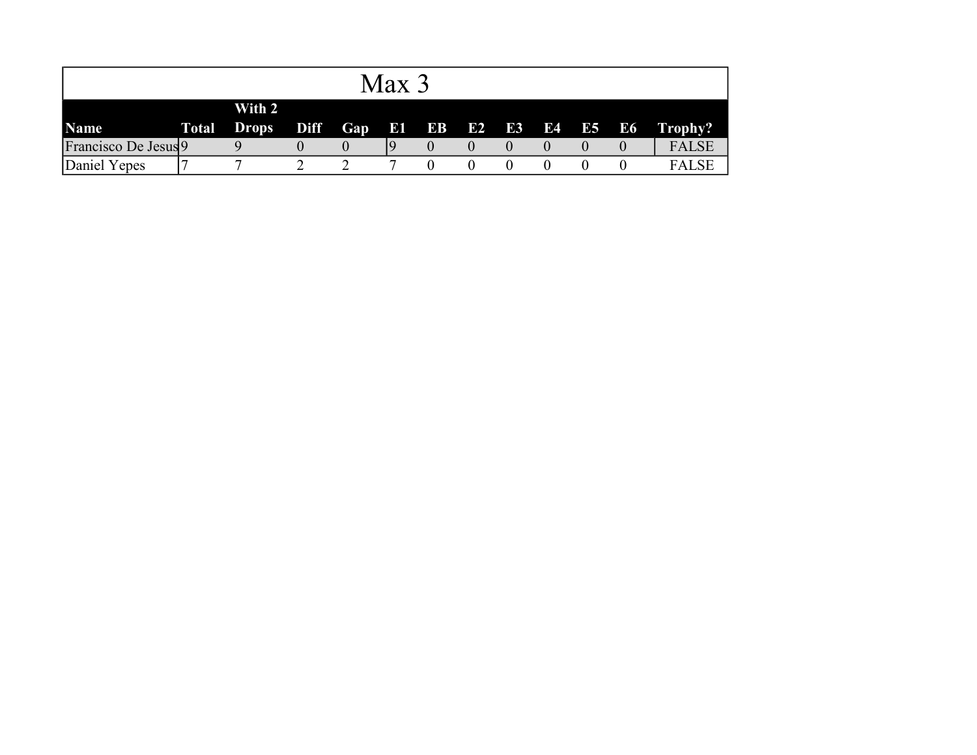|                      |                              |             |     | Max 3     |                 |  |  |          |              |
|----------------------|------------------------------|-------------|-----|-----------|-----------------|--|--|----------|--------------|
| <b>Name</b>          | With 2<br><b>Total Drops</b> | <b>Diff</b> | Gap | <b>Bi</b> | <b>EB E2 E3</b> |  |  | E4 E5 E6 | Trophy?      |
| Francisco De Jesus 9 |                              |             |     |           |                 |  |  |          | <b>FALSE</b> |
| Daniel Yepes         |                              |             |     |           |                 |  |  |          | <b>FALSE</b> |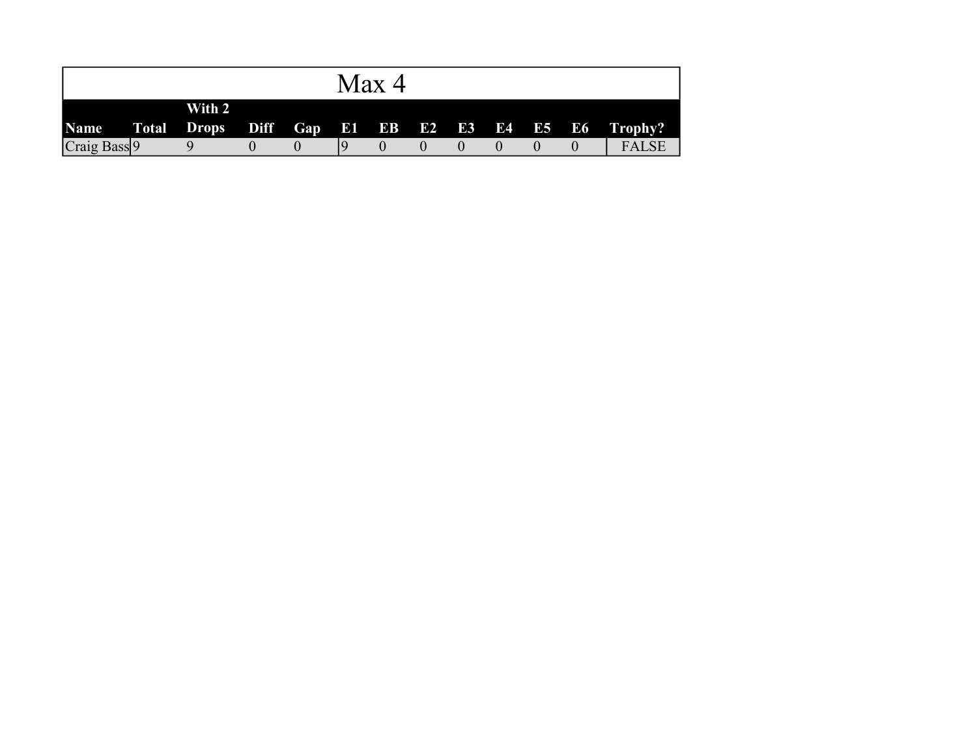|                                                        |        |  | Max 4 |  |  |              |
|--------------------------------------------------------|--------|--|-------|--|--|--------------|
| Name Total Drops Diff Gap E1 EB E2 E3 E4 E5 E6 Trophy? | With 2 |  |       |  |  |              |
| Craig Bass <sup>9</sup>                                |        |  |       |  |  | <b>FALSE</b> |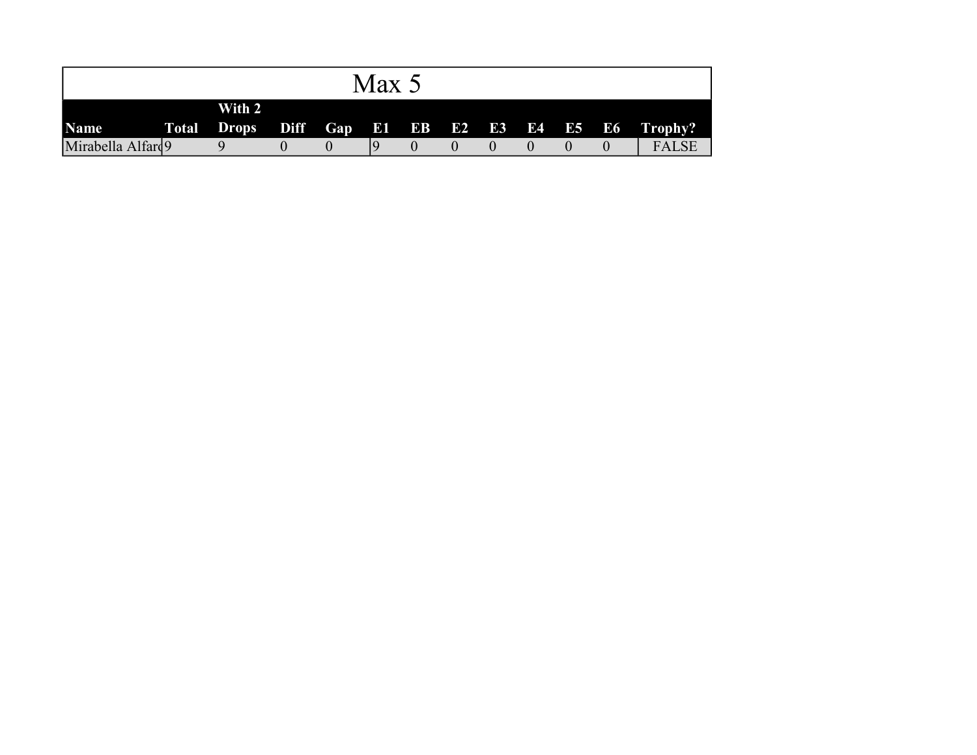|                   |                              |  | Max 5 |  |  |  |                                       |
|-------------------|------------------------------|--|-------|--|--|--|---------------------------------------|
| <b>Name</b>       | With 2<br><b>Total Drops</b> |  |       |  |  |  | Diff Gap E1 EB E2 E3 E4 E5 E6 Trophy? |
| Mirabella Alfard9 |                              |  |       |  |  |  | <b>FALSE</b>                          |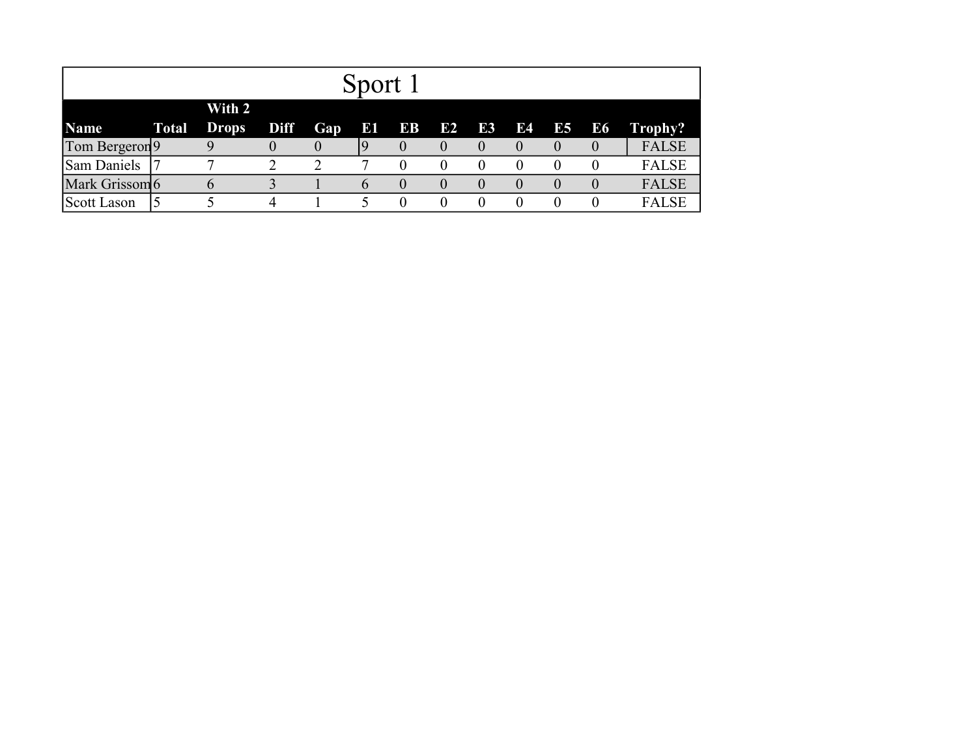|                           |              |              |          |            | Sport 1  |              |              |                |              |                |                  |              |
|---------------------------|--------------|--------------|----------|------------|----------|--------------|--------------|----------------|--------------|----------------|------------------|--------------|
|                           |              | With 2       |          |            |          |              |              |                |              |                |                  |              |
| <b>Name</b>               | <b>Total</b> | <b>Drops</b> | Diff     | <b>Gap</b> | E        | EB           | E2           | E <sub>3</sub> | E4           | E <sub>5</sub> | E6               | Trophy?      |
| Tom Bergeron <sup>9</sup> |              |              | $\theta$ |            | , 9      | $\mathbf{U}$ | $\mathbf{U}$ | $\theta$       | $\theta$     | $\theta$       | $\left( \right)$ | <b>FALSE</b> |
| Sam Daniels               |              |              |          | ◠          |          |              |              | $\theta$       | $\theta$     | $\theta$       |                  | <b>FALSE</b> |
| Mark Grissom 6            |              | O            |          |            | $\theta$ | $\theta$     | $\theta$     | $\mathbf{0}$   | $\mathbf{0}$ | $\theta$       | $\theta$         | <b>FALSE</b> |
| Scott Lason               |              |              | 4        |            |          |              |              |                |              |                |                  | <b>FALSE</b> |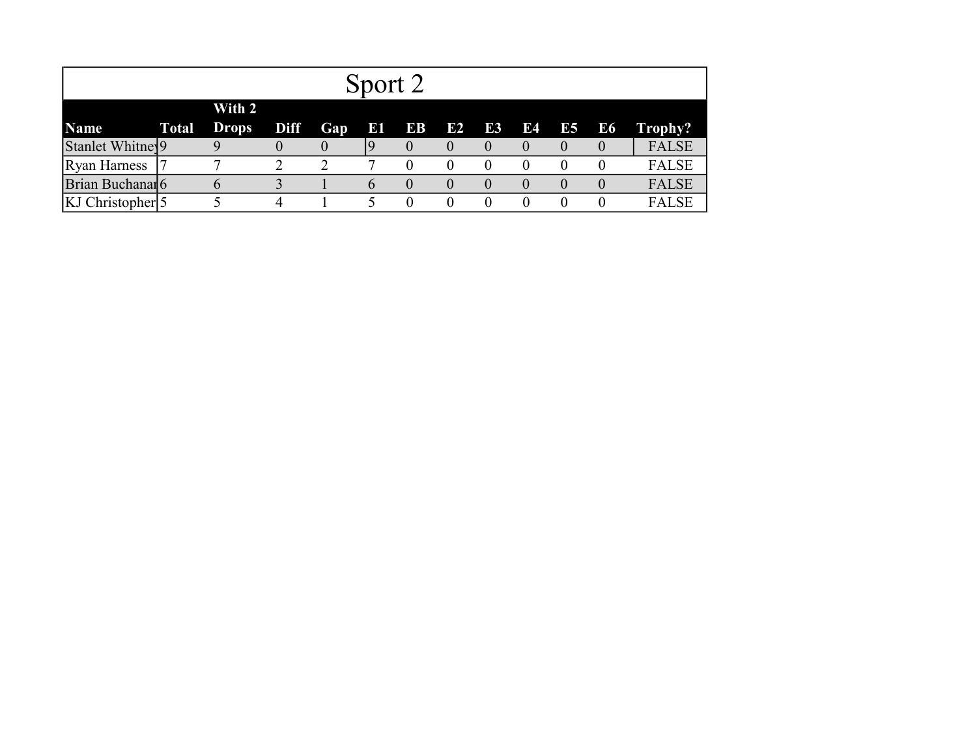|                             |       |                        |             |               | Sport 2       |          |              |              |              |              |           |              |
|-----------------------------|-------|------------------------|-------------|---------------|---------------|----------|--------------|--------------|--------------|--------------|-----------|--------------|
| <b>Name</b>                 | Total | With 2<br><b>Drops</b> | <b>Diff</b> | Gap           | $\bf b$ i     | EB       | E2           | E3           | E4           | E5           | <b>E6</b> | Trophy?      |
| Stanlet Whitney9            |       | Q                      | $\theta$    | $\theta$      | 19            | $\theta$ | $\theta$     | $\theta$     | $\theta$     | $\theta$     |           | <b>FALSE</b> |
| <b>Ryan Harness</b>         |       |                        |             | $\mathcal{D}$ |               | 0        | $\theta$     | $\theta$     | $\theta$     |              |           | <b>FALSE</b> |
| Brian Buchanar <sup>6</sup> |       | n                      |             |               | $\mathfrak h$ | $\theta$ | $\mathbf{0}$ | $\mathbf{0}$ | $\mathbf{0}$ | $\mathbf{0}$ |           | <b>FALSE</b> |
| KJ Christopher <sup>5</sup> |       |                        |             |               |               | $\theta$ |              | 0            | $\theta$     |              |           | <b>FALSE</b> |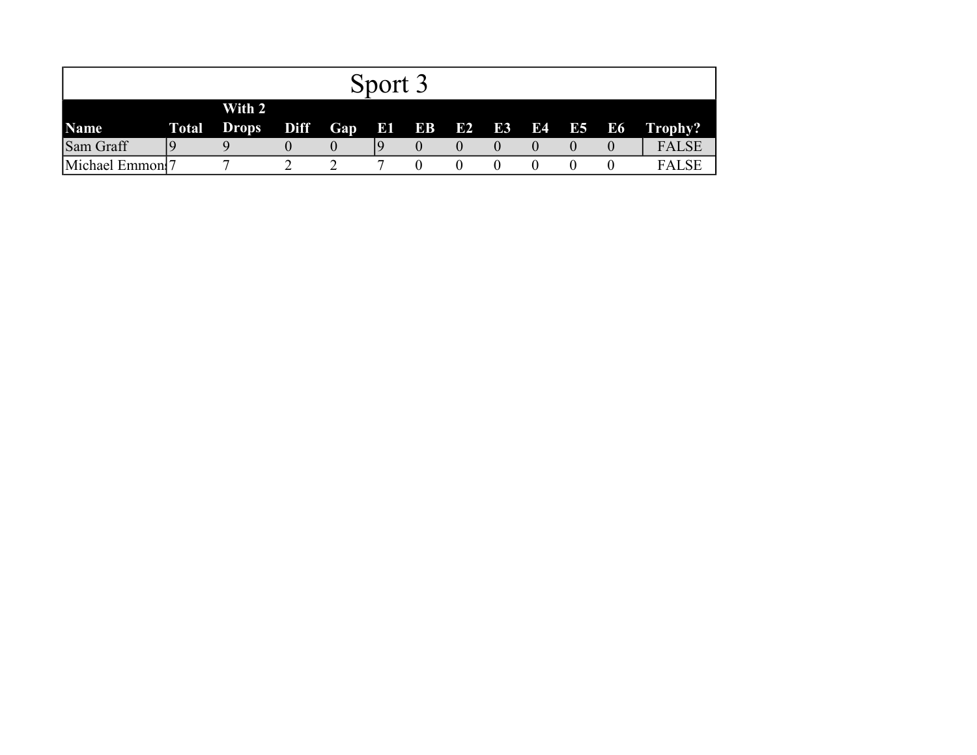|                  |                              |             |            | Sport 3 |                 |    |           |       |              |
|------------------|------------------------------|-------------|------------|---------|-----------------|----|-----------|-------|--------------|
| <b>Name</b>      | With 2<br><b>Total Drops</b> | <b>Diff</b> | <b>Gap</b> |         | <b>E1 EB E2</b> | E3 | <b>E4</b> | E5 E6 | Trophy?      |
| Sam Graff        |                              |             |            |         |                 |    |           |       | <b>FALSE</b> |
| Michael Emmon! 7 | ┍                            |             |            |         |                 |    |           |       | <b>FALSE</b> |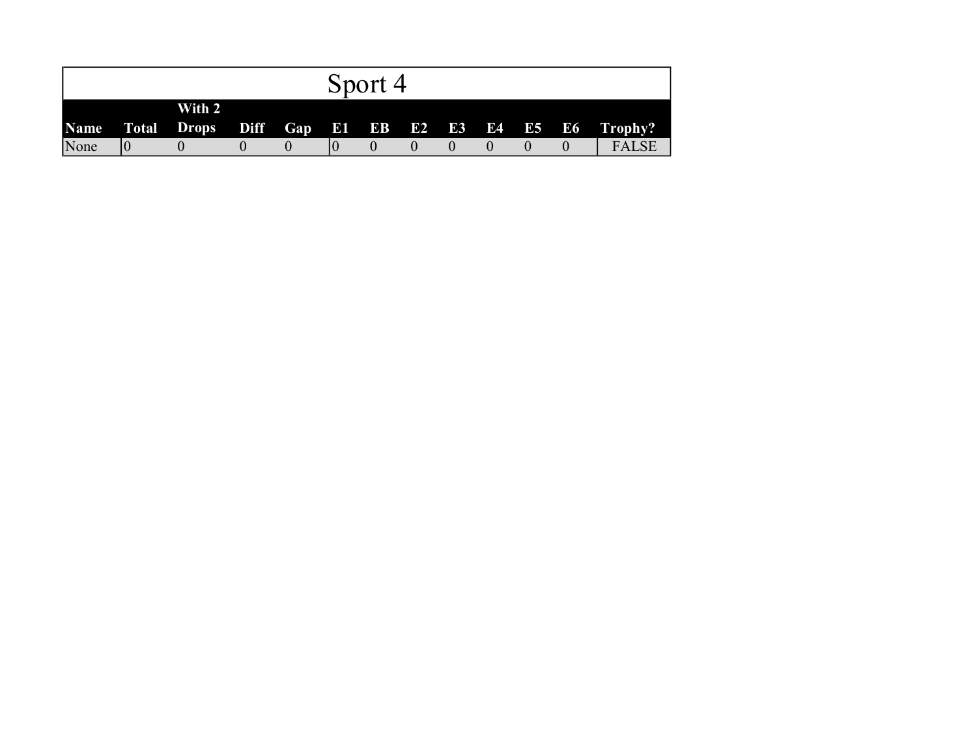|             |             |        |  | Sport 4 |  |  |                                                   |
|-------------|-------------|--------|--|---------|--|--|---------------------------------------------------|
|             |             | With 2 |  |         |  |  |                                                   |
| <b>Name</b> |             |        |  |         |  |  | Total Drops Diff Gap E1 EB E2 E3 E4 E5 E6 Trophy? |
| None        | $ 0\rangle$ |        |  |         |  |  | <b>FALSE</b>                                      |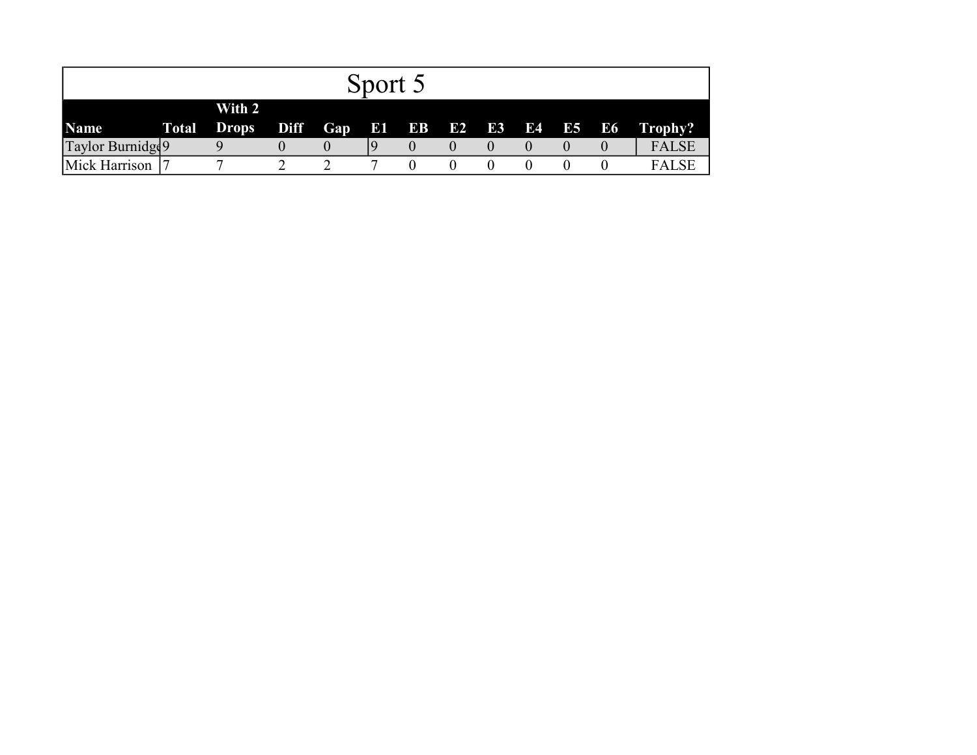|                   |                              |      |          | Sport 5 |             |  |           |       |              |
|-------------------|------------------------------|------|----------|---------|-------------|--|-----------|-------|--------------|
| <b>Name</b>       | With 2<br><b>Total Drops</b> | Diff | Gap      |         | E1 EB E2 E3 |  | <b>E4</b> | E5 E6 | Trophy?      |
| Taylor Burnidge 9 |                              |      | $\theta$ |         |             |  |           |       | <b>FALSE</b> |
| Mick Harrison     |                              |      |          |         |             |  |           |       | <b>FALSE</b> |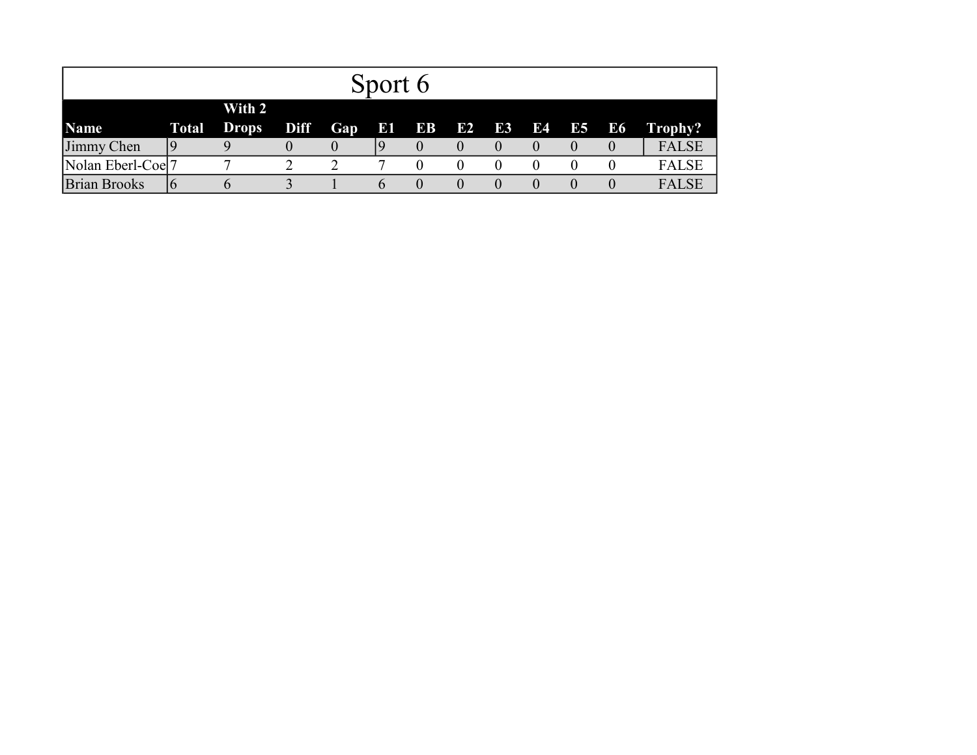|                     |    |                    |      |     | Sport 6 |              |    |    |           |       |  |              |  |
|---------------------|----|--------------------|------|-----|---------|--------------|----|----|-----------|-------|--|--------------|--|
| With 2              |    |                    |      |     |         |              |    |    |           |       |  |              |  |
| <b>Name</b>         |    | <b>Total Drops</b> | Diff | Gap |         | <b>B1 BB</b> | E2 | E3 | <b>E4</b> | E5 E6 |  | Trophy?      |  |
| Jimmy Chen          |    |                    |      |     |         |              |    |    |           |       |  | <b>FALSE</b> |  |
| Nolan Eberl-Coel7   |    | $\mathbf{r}$       |      |     |         |              |    |    | 0         |       |  | <b>FALSE</b> |  |
| <b>Brian Brooks</b> | 16 |                    |      |     | O       |              |    |    |           |       |  | <b>FALSE</b> |  |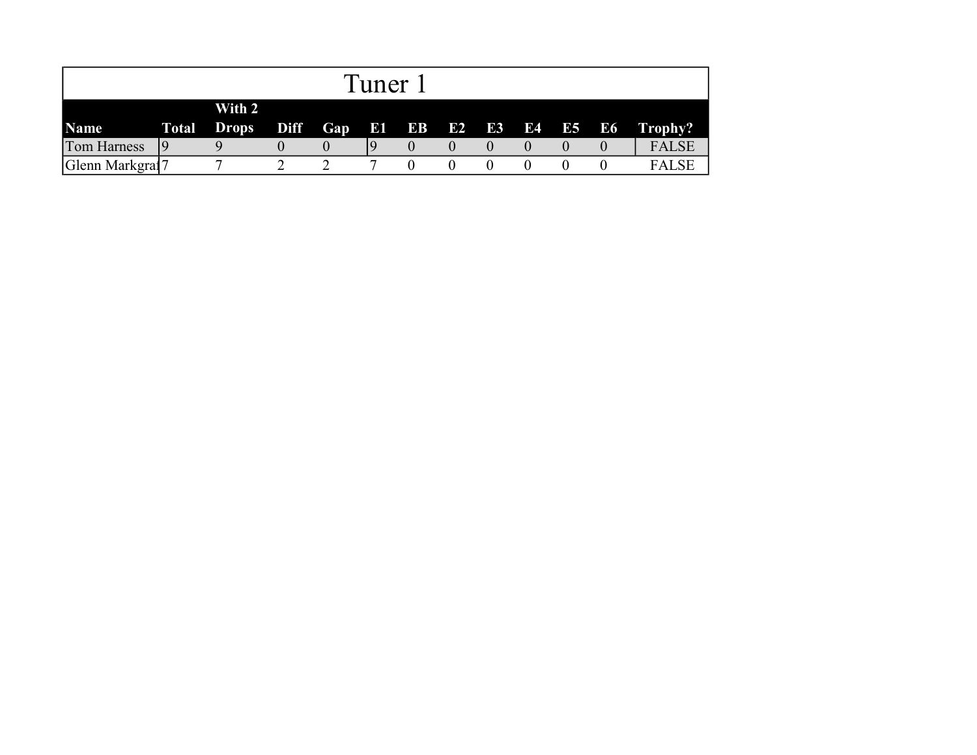|                    |    |                              |                         | Tuner |  |  |       |              |
|--------------------|----|------------------------------|-------------------------|-------|--|--|-------|--------------|
| <b>Name</b>        |    | With 2<br><b>Total Drops</b> | Diff Gap E1 EB E2 E3 E4 |       |  |  | E5 E6 | Trophy?      |
| <b>Tom Harness</b> | 19 |                              |                         |       |  |  |       | <b>FALSE</b> |
| Glenn Markgraf7    |    |                              |                         |       |  |  |       | <b>FALSE</b> |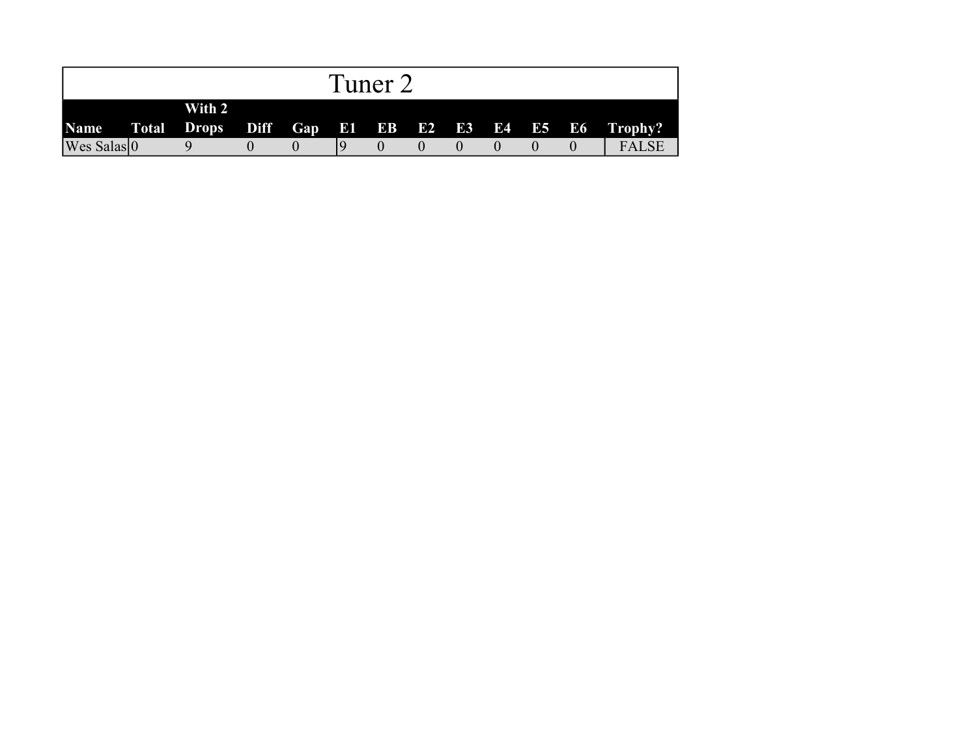|                                                        |        |  | Tuner 2 |  |  |              |
|--------------------------------------------------------|--------|--|---------|--|--|--------------|
| Name Total Drops Diff Gap E1 EB E2 E3 E4 E5 E6 Trophy? | With 2 |  |         |  |  |              |
| $Wes$ Salas $ 0\rangle$                                |        |  |         |  |  | <b>FALSE</b> |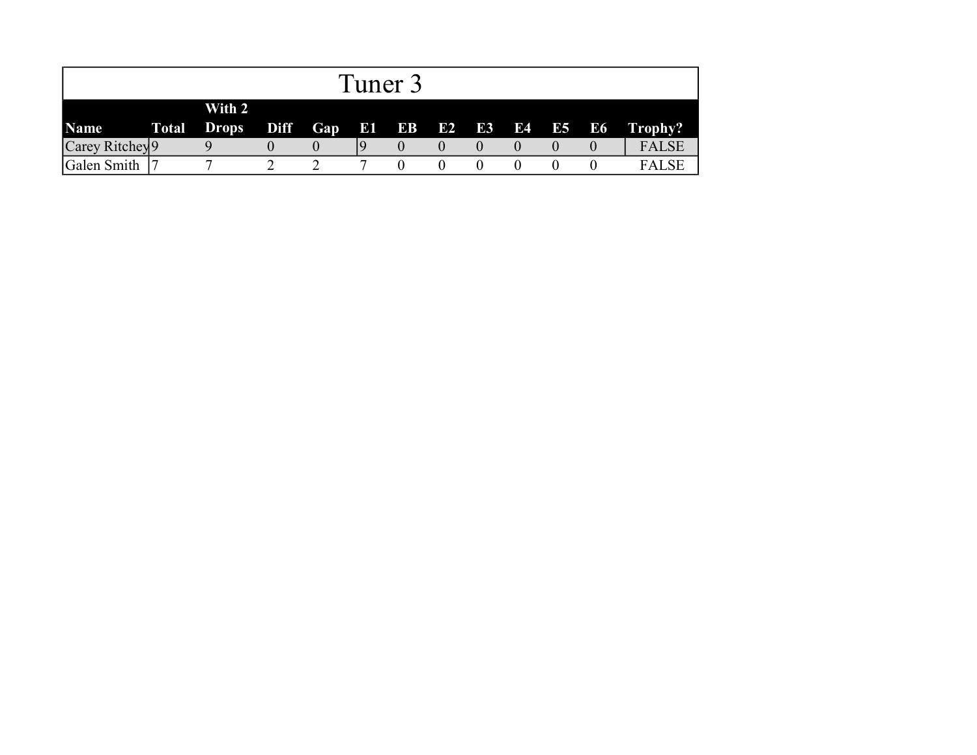|                            |              |                        |             |     | Tuner 3 |                    |  |  |          |              |
|----------------------------|--------------|------------------------|-------------|-----|---------|--------------------|--|--|----------|--------------|
| Name                       | <b>Total</b> | With 2<br><b>Drops</b> | <b>Diff</b> | Gap |         | <b>E1 EB E2 E3</b> |  |  | E4 E5 E6 | Trophy?      |
| Carey Ritchey <sup>9</sup> |              |                        |             |     |         |                    |  |  |          | <b>FALSE</b> |
| Galen Smith                |              |                        |             |     |         |                    |  |  |          | <b>FALSE</b> |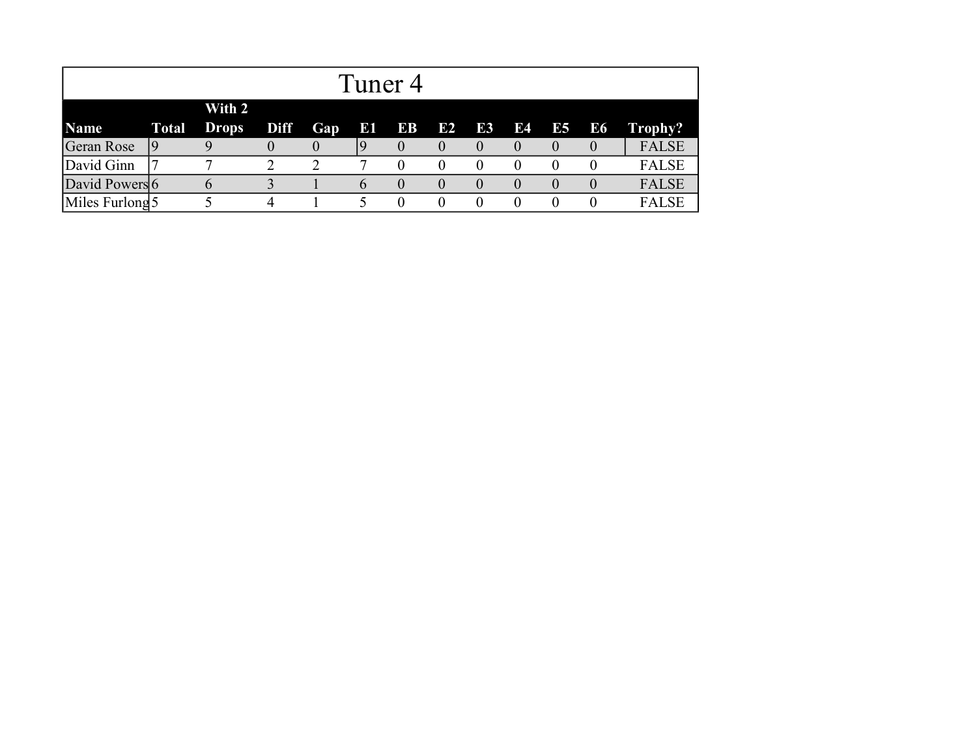|                   | Tuner 4      |              |             |     |              |          |              |          |    |              |          |              |
|-------------------|--------------|--------------|-------------|-----|--------------|----------|--------------|----------|----|--------------|----------|--------------|
|                   |              | With 2       |             |     |              |          |              |          |    |              |          |              |
| <b>Name</b>       | <b>Total</b> | <b>Drops</b> | <b>Diff</b> | Gap | E1           | EB       | E2           | E3       | E4 | E5           | E6       | Trophy?      |
| <b>Geran Rose</b> |              |              | $\theta$    |     |              |          | $\theta$     | $\theta$ |    | $\mathbf{U}$ | $\theta$ | <b>FALSE</b> |
| David Ginn        |              |              | າ           |     |              | $\theta$ | $\theta$     | $\theta$ |    | $\theta$     |          | <b>FALSE</b> |
| David Powers 6    |              |              |             |     | $\mathsf{h}$ | $\theta$ | $\mathbf{0}$ | $\theta$ |    | $\theta$     | $\theta$ | <b>FALSE</b> |
| Miles Furlong 5   |              |              | 4           |     |              |          | $\theta$     | $\theta$ |    |              |          | <b>FALSE</b> |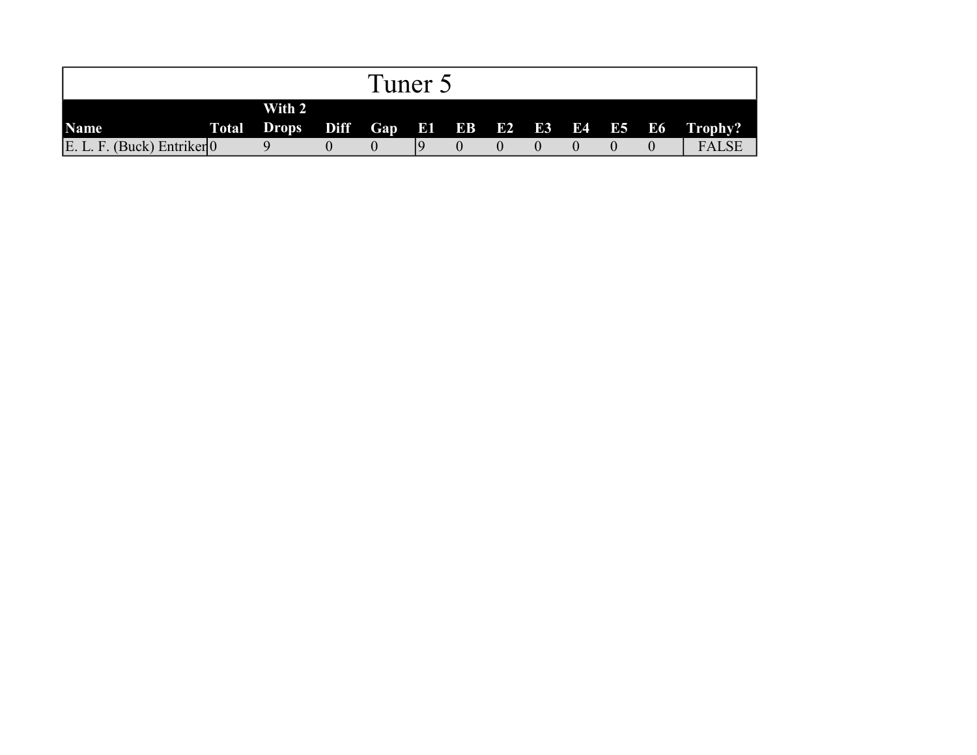|                                |        | Tuner 5 |  |  |  |                                                   |
|--------------------------------|--------|---------|--|--|--|---------------------------------------------------|
| <b>Name</b>                    | With 2 |         |  |  |  | Total Drops Diff Gap E1 EB E2 E3 E4 E5 E6 Trophy? |
| $E. L. F.$ (Buck) Entriker $0$ |        |         |  |  |  | <b>FALSE</b>                                      |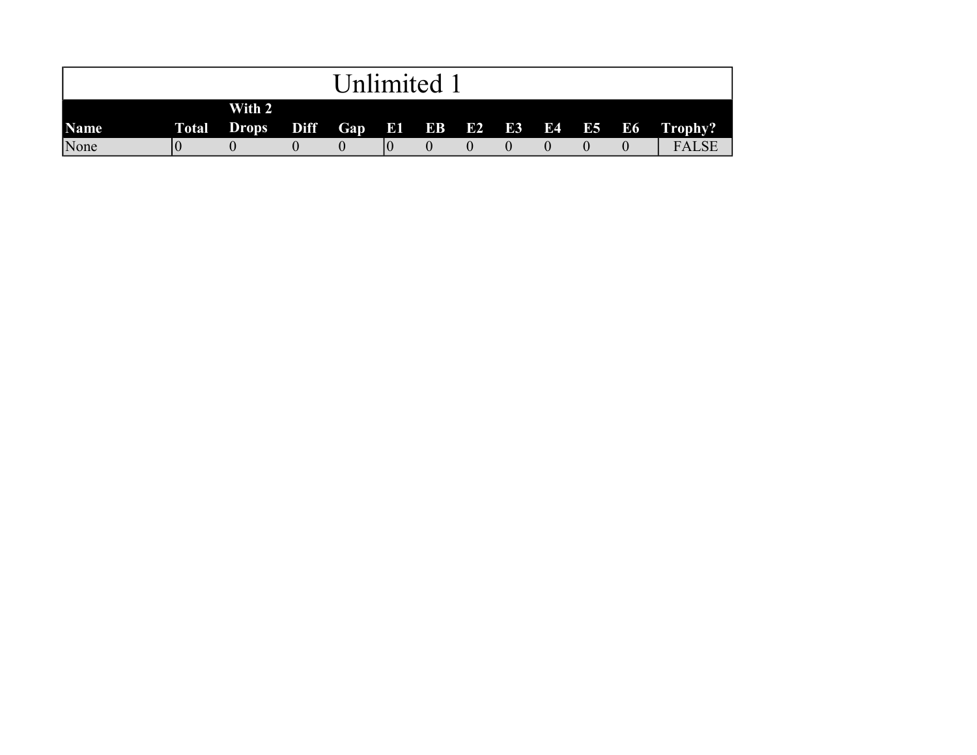|      |        | Unlimited 1 |  |  |  |                                                   |
|------|--------|-------------|--|--|--|---------------------------------------------------|
| Name | With 2 |             |  |  |  | Total Drops Diff Gap E1 EB E2 E3 E4 E5 E6 Trophy? |
| None |        |             |  |  |  | <b>FALSE</b>                                      |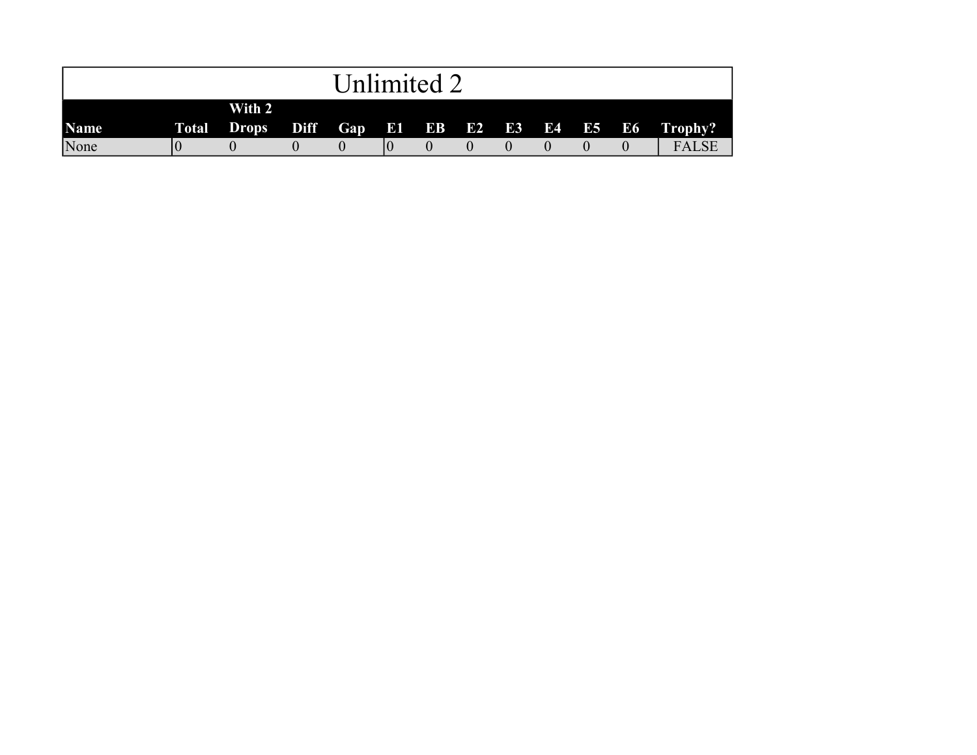|             |        | Unlimited 2 |  |  |  |                                                   |
|-------------|--------|-------------|--|--|--|---------------------------------------------------|
| <b>Name</b> | With 2 |             |  |  |  | Total Drops Diff Gap E1 EB E2 E3 E4 E5 E6 Trophy? |
| None        |        |             |  |  |  | <b>FALSE</b>                                      |